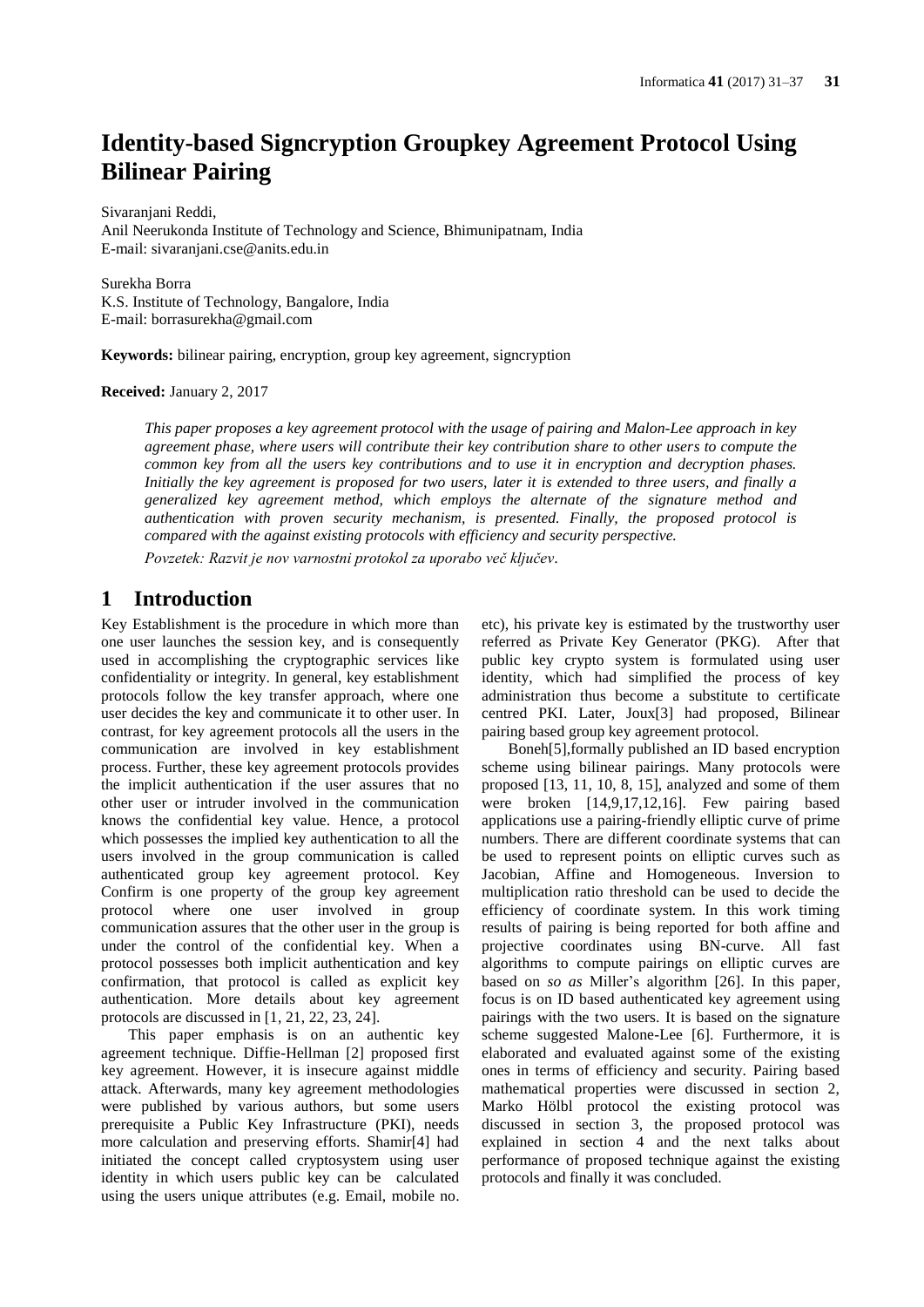# **Identity-based Signcryption Groupkey Agreement Protocol Using Bilinear Pairing**

Sivaranjani Reddi,

Anil Neerukonda Institute of Technology and Science, Bhimunipatnam, India E-mail: sivaranjani.cse@anits.edu.in

Surekha Borra K.S. Institute of Technology, Bangalore, India E-mail: borrasurekha@gmail.com

**Keywords:** bilinear pairing, encryption, group key agreement, signcryption

**Received:** January 2, 2017

*This paper proposes a key agreement protocol with the usage of pairing and Malon-Lee approach in key agreement phase, where users will contribute their key contribution share to other users to compute the common key from all the users key contributions and to use it in encryption and decryption phases. Initially the key agreement is proposed for two users, later it is extended to three users, and finally a generalized key agreement method, which employs the alternate of the signature method and authentication with proven security mechanism, is presented. Finally, the proposed protocol is compared with the against existing protocols with efficiency and security perspective.*

*Povzetek: Razvit je nov varnostni protokol za uporabo več ključev.*

# **1 Introduction**

Key Establishment is the procedure in which more than one user launches the session key, and is consequently used in accomplishing the cryptographic services like confidentiality or integrity. In general, key establishment protocols follow the key transfer approach, where one user decides the key and communicate it to other user. In contrast, for key agreement protocols all the users in the communication are involved in key establishment process. Further, these key agreement protocols provides the implicit authentication if the user assures that no other user or intruder involved in the communication knows the confidential key value. Hence, a protocol which possesses the implied key authentication to all the users involved in the group communication is called authenticated group key agreement protocol. Key Confirm is one property of the group key agreement protocol where one user involved in group communication assures that the other user in the group is under the control of the confidential key. When a protocol possesses both implicit authentication and key confirmation, that protocol is called as explicit key authentication. More details about key agreement protocols are discussed in [1, 21, 22, 23, 24].

This paper emphasis is on an authentic key agreement technique. Diffie-Hellman [2] proposed first key agreement. However, it is insecure against middle attack. Afterwards, many key agreement methodologies were published by various authors, but some users prerequisite a Public Key Infrastructure (PKI), needs more calculation and preserving efforts. Shamir[4] had initiated the concept called cryptosystem using user identity in which users public key can be calculated using the users unique attributes (e.g. Email, mobile no.

etc), his private key is estimated by the trustworthy user referred as Private Key Generator (PKG). After that public key crypto system is formulated using user identity, which had simplified the process of key administration thus become a substitute to certificate centred PKI. Later, Joux[3] had proposed, Bilinear pairing based group key agreement protocol.

Boneh[5],formally published an ID based encryption scheme using bilinear pairings. Many protocols were proposed [13, 11, 10, 8, 15], analyzed and some of them were broken [14,9,17,12,16]. Few pairing based applications use a pairing-friendly elliptic curve of prime numbers. There are different coordinate systems that can be used to represent points on elliptic curves such as Jacobian, Affine and Homogeneous. Inversion to multiplication ratio threshold can be used to decide the efficiency of coordinate system. In this work timing results of pairing is being reported for both affine and projective coordinates using BN-curve. All fast algorithms to compute pairings on elliptic curves are based on *so as* Miller's algorithm [26]. In this paper, focus is on ID based authenticated key agreement using pairings with the two users. It is based on the signature scheme suggested Malone-Lee [6]. Furthermore, it is elaborated and evaluated against some of the existing ones in terms of efficiency and security. Pairing based mathematical properties were discussed in section 2, Marko Hölbl protocol the existing protocol was discussed in section 3, the proposed protocol was explained in section 4 and the next talks about performance of proposed technique against the existing protocols and finally it was concluded.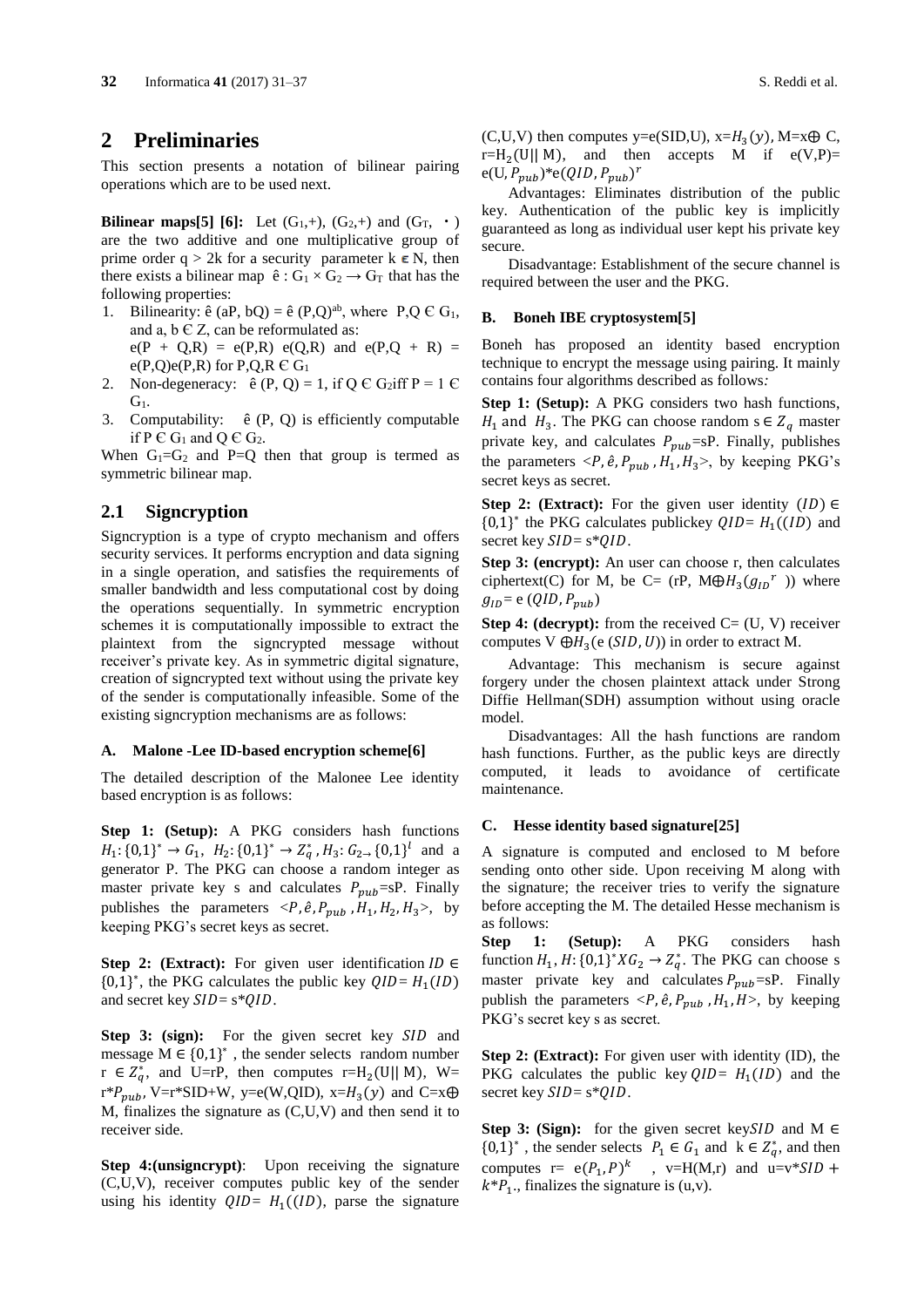### **2 Preliminaries**

This section presents a notation of bilinear pairing operations which are to be used next.

**Bilinear maps[5] [6]:** Let  $(G_1, +)$ ,  $(G_2, +)$  and  $(G_T, \cdot)$ are the two additive and one multiplicative group of prime order q > 2k for a security parameter k  $\epsilon$  N, then there exists a bilinear map  $\hat{e}: G_1 \times G_2 \rightarrow G_T$  that has the following properties:

- 1. Bilinearity:  $\hat{e}$  (aP, bQ) =  $\hat{e}$  (P,Q)<sup>ab</sup>, where P,Q  $\in$  G<sub>1</sub>, and a,  $b \in Z$ , can be reformulated as:  $e(P + Q,R) = e(P,R) e(Q,R)$  and  $e(P,Q + R) =$  $e(P,Q)e(P,R)$  for P,Q,R  $\in G_1$
- 2. Non-degeneracy:  $\hat{e}(P, Q) = 1$ , if  $Q \in G_2$ iff  $P = 1 \in$  $G<sub>1</sub>$ .
- 3. Computability: ê (P, Q) is efficiently computable if P  $\in G_1$  and Q  $\in G_2$ .

When  $G_1 = G_2$  and P=Q then that group is termed as symmetric bilinear map.

### **2.1 Signcryption**

Signcryption is a type of crypto mechanism and offers security services. It performs encryption and data signing in a single operation, and satisfies the requirements of smaller bandwidth and less computational cost by doing the operations sequentially. In symmetric encryption schemes it is computationally impossible to extract the plaintext from the signcrypted message without receiver's private key. As in symmetric digital signature, creation of signcrypted text without using the private key of the sender is computationally infeasible. Some of the existing signcryption mechanisms are as follows:

#### **A. Malone -Lee ID-based encryption scheme[6]**

The detailed description of the Malonee Lee identity based encryption is as follows:

**Step 1: (Setup):** A PKG considers hash functions  $H_1$ : {0,1}<sup>\*</sup> →  $G_1$ ,  $H_2$ : {0,1}<sup>\*</sup> →  $Z_q^*$ ,  $H_3$ :  $G_{2\rightarrow}$  {0,1}<sup>l</sup> and a generator P. The PKG can choose a random integer as master private key s and calculates  $P_{pub} = SP$ . Finally publishes the parameters  $\langle P, \hat{e}, P_{pub}, H_1, H_2, H_3 \rangle$ , by keeping PKG's secret keys as secret.

**Step 2: (Extract):** For given user identification  $ID \in$  ${0,1}^*$ , the PKG calculates the public key  $QID = H_1(ID)$ and secret key  $SID = s *QID$ .

**Step 3: (sign):** For the given secret key SID and message  $M \in \{0,1\}^*$ , the sender selects random number  $r \in Z_q^*$ , and U=rP, then computes r=H<sub>2</sub>(U|| M), W=  $r^*P_{pub}$ , V= $r^*SID+W$ , y=e(W,QID), x= $H_3(y)$  and C=x $\oplus$ M, finalizes the signature as (C,U,V) and then send it to receiver side.

**Step 4: (unsigncrypt)**: Upon receiving the signature (C,U,V), receiver computes public key of the sender using his identity  $QID = H_1((ID))$ , parse the signature

 $(C, U, V)$  then computes y=e(SID,U), x= $H_3(y)$ , M=x $\oplus$  C, r=H<sub>2</sub>(U|| M), and then accepts M if  $e(V,P)$ =  $e(U, P_{pub})^*e(QID, P_{pub})^r$ 

Advantages: Eliminates distribution of the public key. Authentication of the public key is implicitly guaranteed as long as individual user kept his private key secure.

Disadvantage: Establishment of the secure channel is required between the user and the PKG.

#### **B. Boneh IBE cryptosystem[5]**

Boneh has proposed an identity based encryption technique to encrypt the message using pairing. It mainly contains four algorithms described as follows*:*

**Step 1: (Setup):** A PKG considers two hash functions,  $H_1$  and  $H_3$ . The PKG can choose random s  $\in Z_q$  master private key, and calculates  $P_{pub} = SP$ . Finally, publishes the parameters  $\langle P, \hat{e}, P_{pub}, H_1, H_3 \rangle$ , by keeping PKG's secret keys as secret.

**Step 2: (Extract):** For the given user identity  $(ID) \in$  ${0,1}^*$  the PKG calculates publickey  $QID = H_1((ID)$  and secret key  $SID = s*QID$ .

**Step 3: (encrypt):** An user can choose r, then calculates ciphertext(C) for M, be C= (rP,  $M \oplus H_3(g_{1D}^r)$ ) where  $g_{ID} = e \left( QID, P_{pub} \right)$ 

**Step 4: (decrypt):** from the received  $C = (U, V)$  receiver computes V  $\bigoplus H_3(e(SID, U))$  in order to extract M.

Advantage: This mechanism is secure against forgery under the chosen plaintext attack under Strong Diffie Hellman(SDH) assumption without using oracle model.

Disadvantages: All the hash functions are random hash functions. Further, as the public keys are directly computed, it leads to avoidance of certificate maintenance.

#### **C. Hesse identity based signature[25]**

A signature is computed and enclosed to M before sending onto other side. Upon receiving M along with the signature; the receiver tries to verify the signature before accepting the M. The detailed Hesse mechanism is as follows:

Step 1: (Setup): A PKG considers hash function  $H_1$ ,  $H: \{0,1\}^* X G_2 \to Z_q^*$ . The PKG can choose s master private key and calculates  $P_{pub} = SP$ . Finally publish the parameters  $\langle P, \hat{e}, P_{pub}, H_1, H \rangle$ , by keeping PKG's secret key s as secret.

**Step 2: (Extract):** For given user with identity (ID), the PKG calculates the public key  $QID = H_1(ID)$  and the secret key  $SID = s*QID$ .

**Step 3: (Sign):** for the given secret key SID and M  $\in$  $\{0,1\}^*$ , the sender selects  $P_1 \in G_1$  and  $k \in Z_q^*$ , and then computes  $r = e(P_1, P)^k$ ,  $v=H(M,r)$  and  $u=v*SID +$  $k^*P_1$ ., finalizes the signature is (u,v).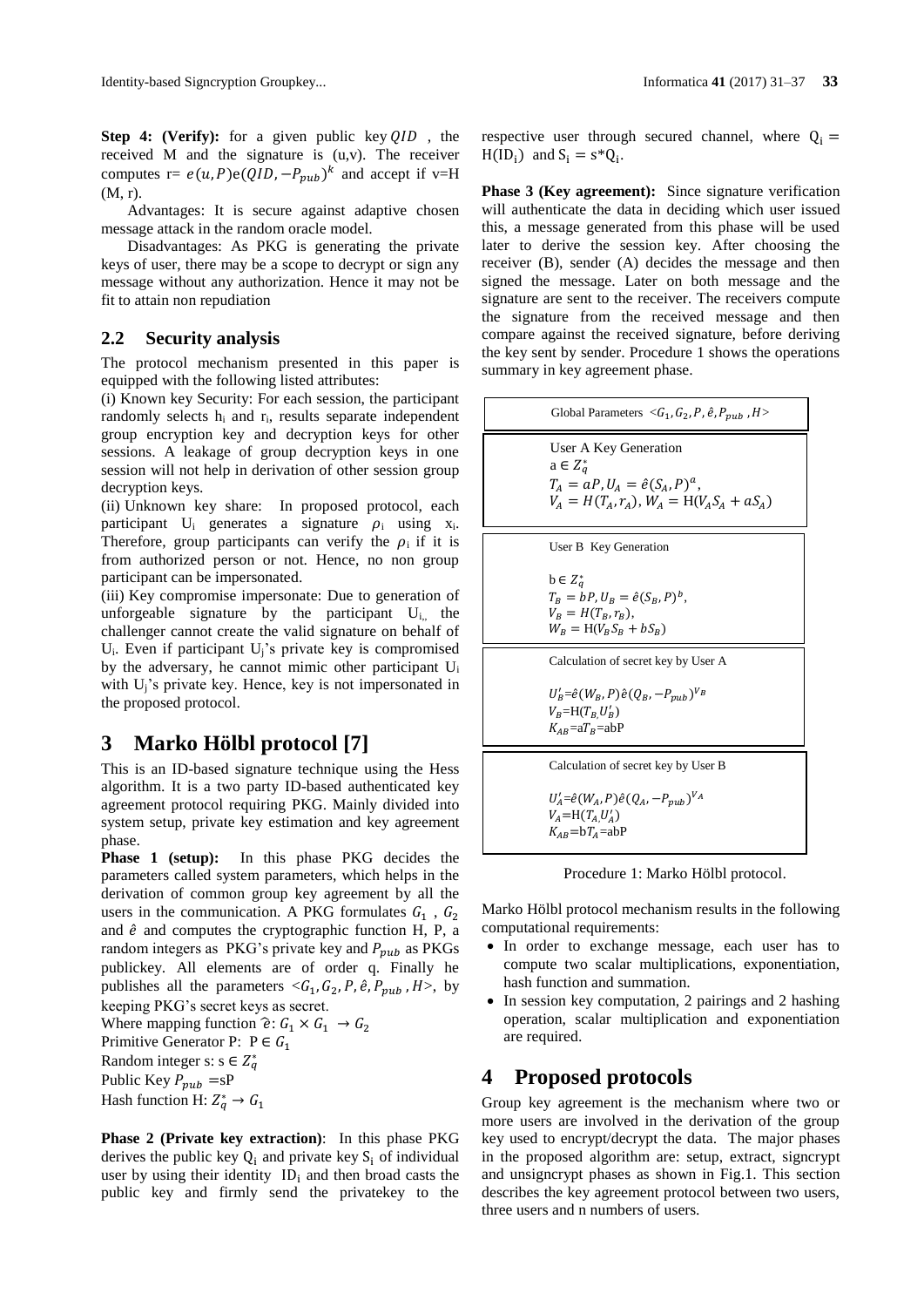Advantages: It is secure against adaptive chosen message attack in the random oracle model.

Disadvantages: As PKG is generating the private keys of user, there may be a scope to decrypt or sign any message without any authorization. Hence it may not be fit to attain non repudiation

### **2.2 Security analysis**

The protocol mechanism presented in this paper is equipped with the following listed attributes:

(i) Known key Security: For each session, the participant randomly selects h<sup>i</sup> and ri, results separate independent group encryption key and decryption keys for other sessions. A leakage of group decryption keys in one session will not help in derivation of other session group decryption keys.

(ii) Unknown key share: In proposed protocol, each participant  $U_i$  generates a signature  $\rho_i$  using x<sub>i</sub>. Therefore, group participants can verify the  $\rho_i$  if it is from authorized person or not. Hence, no non group participant can be impersonated.

(iii) Key compromise impersonate: Due to generation of unforgeable signature by the participant  $U_{i,j}$  the challenger cannot create the valid signature on behalf of  $U_i$ . Even if participant  $U_i$ 's private key is compromised by the adversary, he cannot mimic other participant U<sup>i</sup> with U<sub>j</sub>'s private key. Hence, key is not impersonated in the proposed protocol.

# **3 Marko Hölbl protocol [7]**

This is an ID-based signature technique using the Hess algorithm. It is a two party ID-based authenticated key agreement protocol requiring PKG. Mainly divided into system setup, private key estimation and key agreement phase.

**Phase 1 (setup):** In this phase PKG decides the parameters called system parameters, which helps in the derivation of common group key agreement by all the users in the communication. A PKG formulates  $G_1$ ,  $G_2$ and  $\hat{e}$  and computes the cryptographic function H, P, a random integers as PKG's private key and  $P_{pub}$  as PKGs publickey. All elements are of order q. Finally he publishes all the parameters  $\langle G_1, G_2, P, \hat{e}, P_{pub}, H \rangle$ , by keeping PKG's secret keys as secret.

Where mapping function  $\hat{e}: G_1 \times G_1 \rightarrow G_2$ 

Primitive Generator P:  $P \in G_1$ 

Random integer s:  $s \in Z_q^*$ 

Public Key  $P_{pub}$  =sP

Hash function H:  $Z_q^* \rightarrow G_1$ 

**Phase 2 (Private key extraction)**: In this phase PKG derives the public key  $Q_i$  and private key  $S_i$  of individual user by using their identity  $ID_i$  and then broad casts the public key and firmly send the privatekey to the

respective user through secured channel, where  $Q_i =$  $H(ID_i)$  and  $S_i = s^*Q_i$ .

**Phase 3 (Key agreement):** Since signature verification will authenticate the data in deciding which user issued this, a message generated from this phase will be used later to derive the session key. After choosing the receiver (B), sender (A) decides the message and then signed the message. Later on both message and the signature are sent to the receiver. The receivers compute the signature from the received message and then compare against the received signature, before deriving the key sent by sender. Procedure 1 shows the operations summary in key agreement phase.



Procedure 1: Marko Hölbl protocol.

Marko Hölbl protocol mechanism results in the following computational requirements:

- In order to exchange message, each user has to compute two scalar multiplications, exponentiation, hash function and summation.
- In session key computation, 2 pairings and 2 hashing operation, scalar multiplication and exponentiation are required.

# **4 Proposed protocols**

 $K_{AB}$ =b $T_A$ =abP

Group key agreement is the mechanism where two or more users are involved in the derivation of the group key used to encrypt/decrypt the data. The major phases in the proposed algorithm are: setup, extract, signcrypt and unsigncrypt phases as shown in Fig.1. This section describes the key agreement protocol between two users, three users and n numbers of users.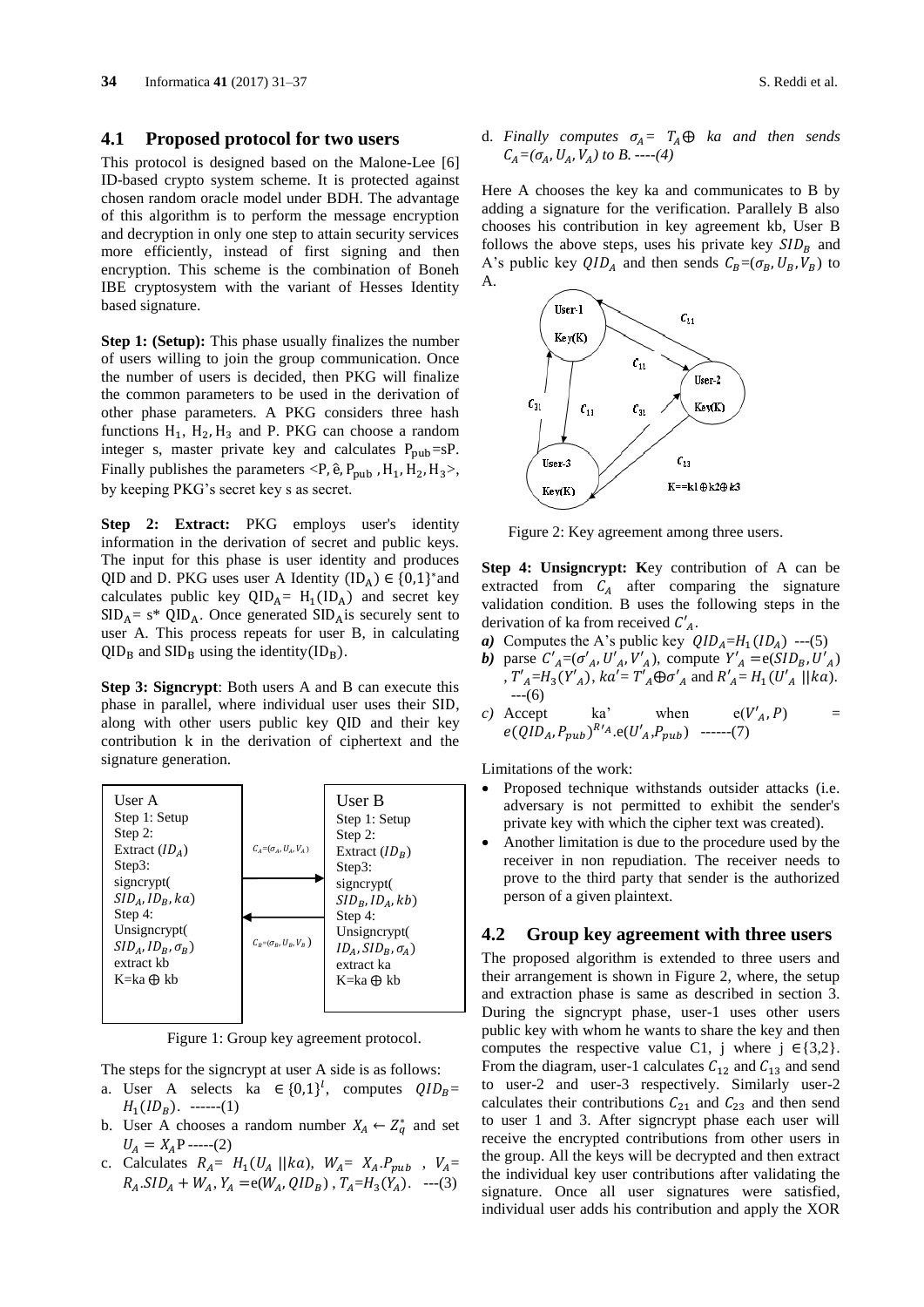#### **4.1 Proposed protocol for two users**

This protocol is designed based on the Malone-Lee [6] ID-based crypto system scheme. It is protected against chosen random oracle model under BDH. The advantage of this algorithm is to perform the message encryption and decryption in only one step to attain security services more efficiently, instead of first signing and then encryption. This scheme is the combination of Boneh IBE cryptosystem with the variant of Hesses Identity based signature.

**Step 1: (Setup):** This phase usually finalizes the number of users willing to join the group communication. Once the number of users is decided, then PKG will finalize the common parameters to be used in the derivation of other phase parameters. A PKG considers three hash functions  $H_1$ ,  $H_2$ ,  $H_3$  and P. PKG can choose a random integer s, master private key and calculates  $P_{\text{pub}}=sP$ . Finally publishes the parameters <P,  $\hat{e}$ ,  $P_{\text{pub}}$ ,  $H_1$ ,  $H_2$ ,  $H_3$ >, by keeping PKG's secret key s as secret.

**Step 2: Extract:** PKG employs user's identity information in the derivation of secret and public keys. The input for this phase is user identity and produces QID and D. PKG uses user A Identity  $(ID_A) \in \{0,1\}^*$  and calculates public key  $QID_A = H_1(ID_A)$  and secret key  $SID_A = s^* QID_A$ . Once generated  $SID_A$  is securely sent to user A. This process repeats for user B, in calculating  $QID_B$  and  $SID_B$  using the identity( $ID_B$ ).

**Step 3: Signcrypt**: Both users A and B can execute this phase in parallel, where individual user uses their SID, along with other users public key QID and their key contribution k in the derivation of ciphertext and the signature generation.



Figure 1: Group key agreement protocol.

The steps for the signcrypt at user A side is as follows:

- a. User A selects ka  $\in \{0,1\}^l$ , computes  $QID_B$ =  $H_1(ID_B)$ . ------(1)
- b. User A chooses a random number  $X_A \leftarrow Z_q^*$  and set  $U_A = X_A P$  -----(2)
- c. Calculates  $R_A = H_1(U_A \parallel k\alpha), W_A = X_A.P_{pub}$ ,  $V_A =$  $R_A.SID_A + W_A$ ,  $Y_A = e(W_A, QID_B)$ ,  $T_A = H_3(Y_A)$ . ---(3)

d. Finally computes  $\sigma_A = T_A \oplus k\alpha$  and then sends  $C_A = (\sigma_A, U_A, V_A)$  to B. ----(4)

Here A chooses the key ka and communicates to B by adding a signature for the verification. Parallely B also chooses his contribution in key agreement kb, User B follows the above steps, uses his private key  $SID<sub>B</sub>$  and A's public key  $QID_A$  and then sends  $C_B = (\sigma_B, U_B, V_B)$  to A.



Figure 2: Key agreement among three users.

**Step 4: Unsigncrypt: K**ey contribution of A can be extracted from  $C_A$  after comparing the signature validation condition. B uses the following steps in the derivation of ka from received  $C'_{A}$ .

- *a*) Computes the A's public key  $QID<sub>A</sub>=H<sub>1</sub>(ID<sub>A</sub>)$  ---(5)
- *b*) parse  $C'_{A} = (\sigma'_{A}, U'_{A}, V'_{A})$ , compute  $Y'_{A} = e(SID_{B}, U'_{A})$ ,  $T'_{A} = H_3(Y'_{A})$ ,  $ka' = T'_{A} \oplus \sigma'_{A}$  and  $R'_{A} = H_1(U'_{A} || ka)$ .  $--(6)$
- *c*) Accept ka' when  $e(V'_{A}, P)$  =  $e(QID_A, P_{pub})^{R'A}$ . $e(U'_A, P_{pub})$  ------(7)

Limitations of the work:

- Proposed technique withstands outsider attacks (i.e. adversary is not permitted to exhibit the sender's private key with which the cipher text was created).
- Another limitation is due to the procedure used by the receiver in non repudiation. The receiver needs to prove to the third party that sender is the authorized person of a given plaintext.

### **4.2 Group key agreement with three users**

The proposed algorithm is extended to three users and their arrangement is shown in Figure 2, where, the setup and extraction phase is same as described in section 3. During the signcrypt phase, user-1 uses other users public key with whom he wants to share the key and then computes the respective value C1, j where j  $\in \{3,2\}$ . From the diagram, user-1 calculates  $C_{12}$  and  $C_{13}$  and send to user-2 and user-3 respectively. Similarly user-2 calculates their contributions  $C_{21}$  and  $C_{23}$  and then send to user 1 and 3. After signcrypt phase each user will receive the encrypted contributions from other users in the group. All the keys will be decrypted and then extract the individual key user contributions after validating the signature. Once all user signatures were satisfied, individual user adds his contribution and apply the XOR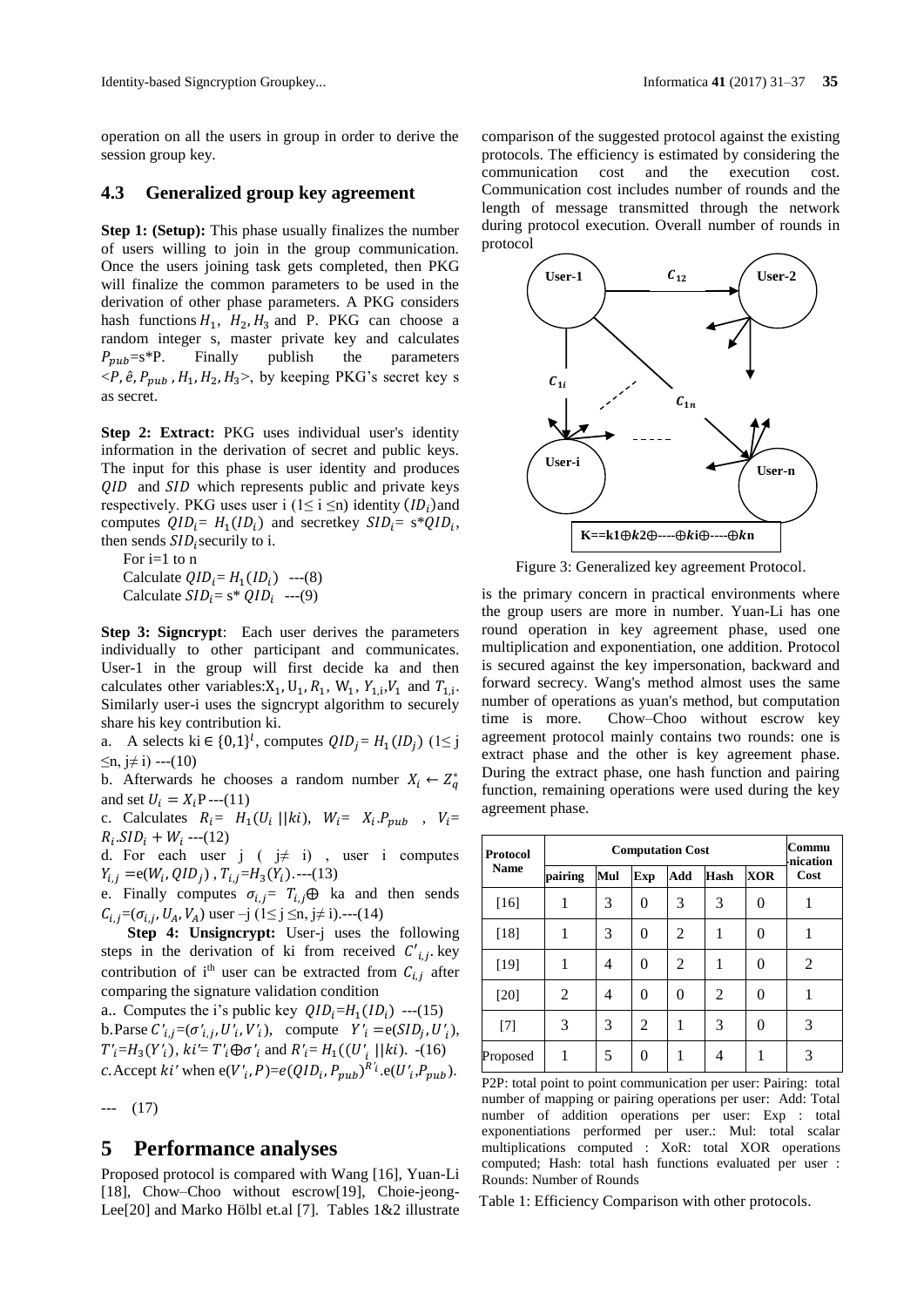operation on all the users in group in order to derive the session group key.

### **4.3 Generalized group key agreement**

**Step 1: (Setup):** This phase usually finalizes the number of users willing to join in the group communication. Once the users joining task gets completed, then PKG will finalize the common parameters to be used in the derivation of other phase parameters. A PKG considers hash functions  $H_1$ ,  $H_2$ ,  $H_3$  and P. PKG can choose a random integer s, master private key and calculates  $P_{pub}=s*P$ . Finally publish the parameters  $\langle P, \hat{e}, P_{pub}, H_1, H_2, H_3 \rangle$ , by keeping PKG's secret key s as secret.

**Step 2: Extract:** PKG uses individual user's identity information in the derivation of secret and public keys. The input for this phase is user identity and produces  $QID$  and  $SID$  which represents public and private keys respectively. PKG uses user i  $(1 \le i \le n)$  identity  $(ID_i)$  and computes  $QID_i = H_1(ID_i)$  and secretkey  $SID_i = s*QID_i$ , then sends  $SID<sub>i</sub>$  securily to i.

For i=1 to n Calculate  $QID_i = H_1(ID_i)$  ---(8) Calculate  $SID_i = s^* QID_i$  ---(9)

**Step 3: Signcrypt**: Each user derives the parameters individually to other participant and communicates. User-1 in the group will first decide ka and then calculates other variables:  $X_1$ ,  $U_1$ ,  $R_1$ ,  $W_1$ ,  $Y_{1,i}$ ,  $V_1$  and  $T_{1,i}$ . Similarly user-i uses the signcrypt algorithm to securely share his key contribution ki.

a. A selects ki  $\in \{0,1\}^l$ , computes  $QID_j = H_1(ID_j)$  ( $1 \le j$ )  $\leq n$ , i≠ i) ---(10)

b. Afterwards he chooses a random number  $X_i \leftarrow Z_q^*$ and set  $U_i = X_i P$ ---(11)

c. Calculates  $R_i = H_1(U_i \mid |ki)$ ,  $W_i = X_i P_{pub}$ ,  $V_i =$  $R_i$ . $SID_i + W_i$  ---(12)

d. For each user  $j$  (  $j \neq i$ ), user i computes  $Y_{i,j} = e(W_i, QID_j)$ ,  $T_{i,j} = H_3(Y_i)$ .---(13)

e. Finally computes  $\sigma_{i,j} = T_{i,j} \oplus$  ka and then sends  $C_{i,j} = (\sigma_{i,j}, U_A, V_A)$  user  $-j$   $(1 \le j \le n, j \ne i)$ .---(14)

**Step 4: Unsigncrypt:** User-j uses the following steps in the derivation of ki from received  $C'_{i,j}$  key contribution of i<sup>th</sup> user can be extracted from  $C_{i,i}$  after comparing the signature validation condition

a.. Computes the i's public key  $QID_i=H_1(ID_i)$  ---(15) b.Parse  $C'_{i,j} = (\sigma'_{i,j}, U'_{i}, V'_{i}),$  compute  $Y'_{i} = e(SID_{j}, U'_{i}),$  $T'_{i} = H_{3}(Y'_{i}), \ ki' = T'_{i} \oplus \sigma'_{i} \text{ and } R'_{i} = H_{1}((U'_{i} \ || ki). \ -(16)$ *c*. Accept *ki'* when  $e(V'_i, P) = e(QID_i, P_{pub})^{R'i} \cdot e(U'_i, P_{pub})$ .

--- (17)

# **5 Performance analyses**

Proposed protocol is compared with Wang [16], Yuan-Li [18], Chow–Choo without escrow[19], Choie-jeong-Lee[20] and Marko Hölbl et.al [7]. Tables 1&2 illustrate comparison of the suggested protocol against the existing protocols. The efficiency is estimated by considering the communication cost and the execution cost. Communication cost includes number of rounds and the length of message transmitted through the network during protocol execution. Overall number of rounds in protocol



Figure 3: Generalized key agreement Protocol.

is the primary concern in practical environments where the group users are more in number. Yuan-Li has one round operation in key agreement phase, used one multiplication and exponentiation, one addition. Protocol is secured against the key impersonation, backward and forward secrecy. Wang's method almost uses the same number of operations as yuan's method, but computation time is more. Chow–Choo without escrow key agreement protocol mainly contains two rounds: one is extract phase and the other is key agreement phase. During the extract phase, one hash function and pairing function, remaining operations were used during the key agreement phase.

| <b>Protocol</b><br><b>Name</b> |         | Commu<br>nication |     |     |             |            |      |
|--------------------------------|---------|-------------------|-----|-----|-------------|------------|------|
|                                | pairing | Mul               | Exp | Add | <b>Hash</b> | <b>XOR</b> | Cost |
| $[16]$                         |         | 3                 | 0   | 3   | 3           | 0          | 1    |
| [18]                           | 1       | 3                 | 0   | 2   | 1           | 0          |      |
| $[19]$                         |         | 4                 | 0   | 2   | 1           | 0          | 2    |
| $[20]$                         | 2       | 4                 | 0   | 0   | 2           | 0          | 1    |
| $[7]$                          | 3       | 3                 | 2   | 1   | 3           | 0          | 3    |
| Proposed                       | 1       | 5                 | 0   |     |             | 1          | 3    |

P2P: total point to point communication per user: Pairing: total number of mapping or pairing operations per user: Add: Total number of addition operations per user: Exp : total exponentiations performed per user.: Mul: total scalar multiplications computed : XoR: total XOR operations computed; Hash: total hash functions evaluated per user : Rounds: Number of Rounds

Table 1: Efficiency Comparison with other protocols.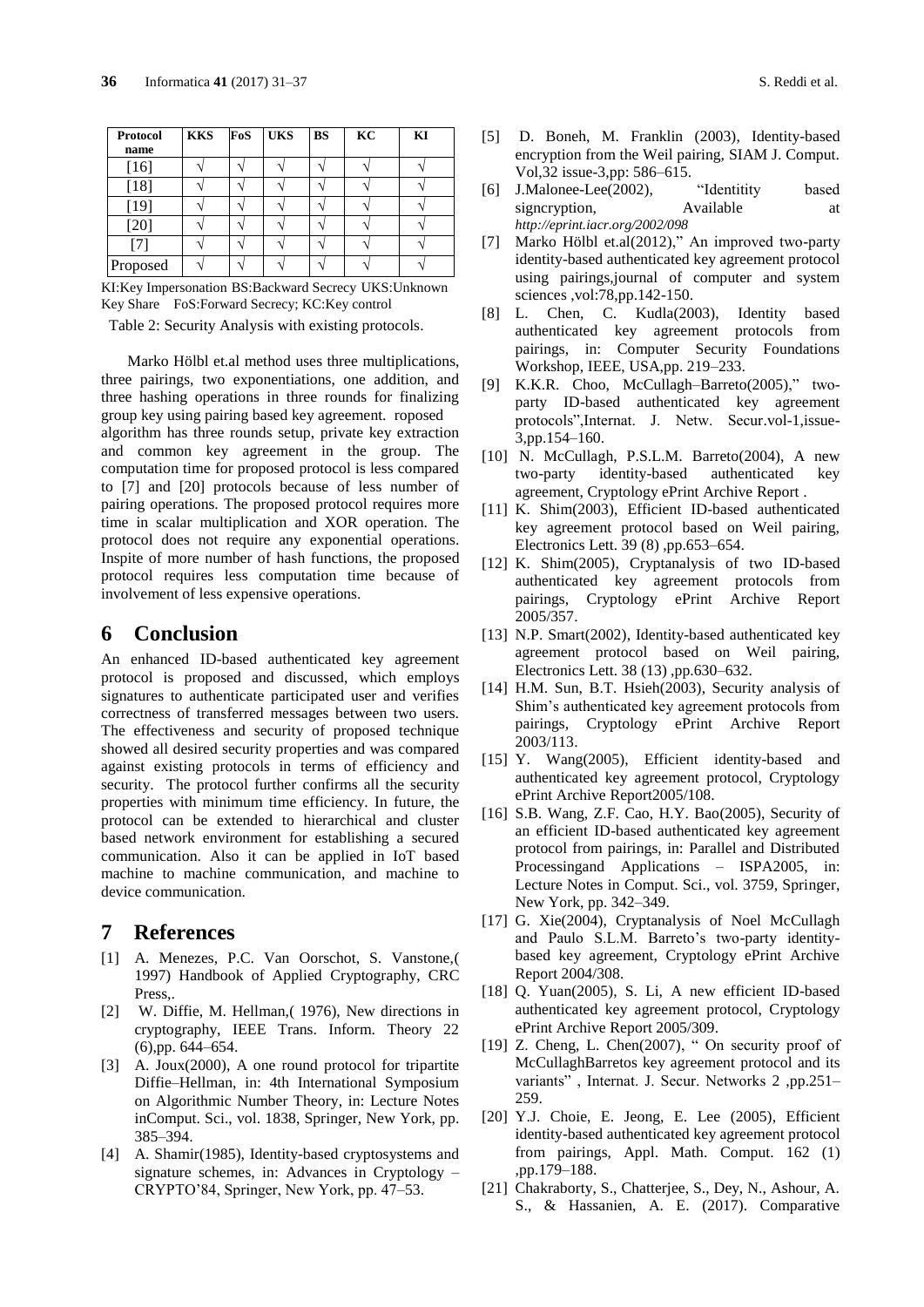| Protocol<br>name | <b>KKS</b> | FoS | <b>UKS</b> | <b>BS</b> | KC | KI |
|------------------|------------|-----|------------|-----------|----|----|
| $[16]$           |            |     |            |           |    |    |
| $[18]$           |            |     |            |           |    |    |
| $[19]$           |            |     |            |           |    |    |
| $[20]$           |            |     |            |           |    |    |
| [7]              |            |     |            |           |    |    |
| Proposed         |            |     |            |           |    |    |

KI:Key Impersonation BS:Backward Secrecy UKS:Unknown Key Share FoS:Forward Secrecy; KC:Key control

Table 2: Security Analysis with existing protocols.

Marko Hölbl et.al method uses three multiplications, three pairings, two exponentiations, one addition, and three hashing operations in three rounds for finalizing group key using pairing based key agreement. roposed algorithm has three rounds setup, private key extraction and common key agreement in the group. The computation time for proposed protocol is less compared to [7] and [20] protocols because of less number of pairing operations. The proposed protocol requires more time in scalar multiplication and XOR operation. The protocol does not require any exponential operations. Inspite of more number of hash functions, the proposed protocol requires less computation time because of involvement of less expensive operations.

## **6 Conclusion**

An enhanced ID-based authenticated key agreement protocol is proposed and discussed, which employs signatures to authenticate participated user and verifies correctness of transferred messages between two users. The effectiveness and security of proposed technique showed all desired security properties and was compared against existing protocols in terms of efficiency and security. The protocol further confirms all the security properties with minimum time efficiency. In future, the protocol can be extended to hierarchical and cluster based network environment for establishing a secured communication. Also it can be applied in IoT based machine to machine communication, and machine to device communication.

### **7 References**

- [1] A. Menezes, P.C. Van Oorschot, S. Vanstone,( 1997) Handbook of Applied Cryptography, CRC Press,.
- [2] W. Diffie, M. Hellman,( 1976), New directions in cryptography, IEEE Trans. Inform. Theory 22 (6),pp. 644–654.
- [3] A. Joux(2000), A one round protocol for tripartite Diffie–Hellman, in: 4th International Symposium on Algorithmic Number Theory, in: Lecture Notes inComput. Sci., vol. 1838, Springer, New York, pp. 385–394.
- [4] A. Shamir(1985), Identity-based cryptosystems and signature schemes, in: Advances in Cryptology – CRYPTO'84, Springer, New York, pp. 47–53.
- [5] D. Boneh, M. Franklin (2003), Identity-based encryption from the Weil pairing, SIAM J. Comput. Vol,32 issue-3,pp: 586–615.
- [6] J.Malonee-Lee(2002), "Identitity based signcryption, Available at *<http://eprint.iacr.org/2002/098>*
- [7] Marko Hölbl et.al(2012)," An improved two-party identity-based authenticated key agreement protocol using pairings,journal of computer and system sciences ,vol:78,pp.142-150.
- [8] L. Chen, C. Kudla(2003), Identity based authenticated key agreement protocols from pairings, in: Computer Security Foundations Workshop, IEEE, USA,pp. 219–233.
- [9] K.K.R. Choo, McCullagh–Barreto(2005)," twoparty ID-based authenticated key agreement protocols",Internat. J. Netw. Secur.vol-1,issue-3,pp.154–160.
- [10] N. McCullagh, P.S.L.M. Barreto(2004), A new two-party identity-based authenticated agreement, Cryptology ePrint Archive Report .
- [11] K. Shim(2003), Efficient ID-based authenticated key agreement protocol based on Weil pairing, Electronics Lett. 39 (8) ,pp.653–654.
- [12] K. Shim(2005), Cryptanalysis of two ID-based authenticated key agreement protocols from pairings, Cryptology ePrint Archive Report 2005/357.
- [13] N.P. Smart(2002), Identity-based authenticated key agreement protocol based on Weil pairing, Electronics Lett. 38 (13) ,pp.630–632.
- [14] H.M. Sun, B.T. Hsieh(2003), Security analysis of Shim's authenticated key agreement protocols from pairings, Cryptology ePrint Archive Report 2003/113.
- [15] Y. Wang(2005), Efficient identity-based and authenticated key agreement protocol, Cryptology ePrint Archive Report2005/108.
- [16] S.B. Wang, Z.F. Cao, H.Y. Bao(2005), Security of an efficient ID-based authenticated key agreement protocol from pairings, in: Parallel and Distributed Processingand Applications – ISPA2005, in: Lecture Notes in Comput. Sci., vol. 3759, Springer, New York, pp. 342–349.
- [17] G. Xie(2004), Cryptanalysis of Noel McCullagh and Paulo S.L.M. Barreto's two-party identitybased key agreement, Cryptology ePrint Archive Report 2004/308.
- [18] Q. Yuan(2005), S. Li, A new efficient ID-based authenticated key agreement protocol, Cryptology ePrint Archive Report 2005/309.
- [19] Z. Cheng, L. Chen(2007), " On security proof of McCullaghBarretos key agreement protocol and its variants" , Internat. J. Secur. Networks 2 ,pp.251– 259.
- [20] Y.J. Choie, E. Jeong, E. Lee (2005), Efficient identity-based authenticated key agreement protocol from pairings, Appl. Math. Comput. 162 (1) ,pp.179–188.
- [21] Chakraborty, S., Chatterjee, S., Dey, N., Ashour, A. S., & Hassanien, A. E. (2017). Comparative